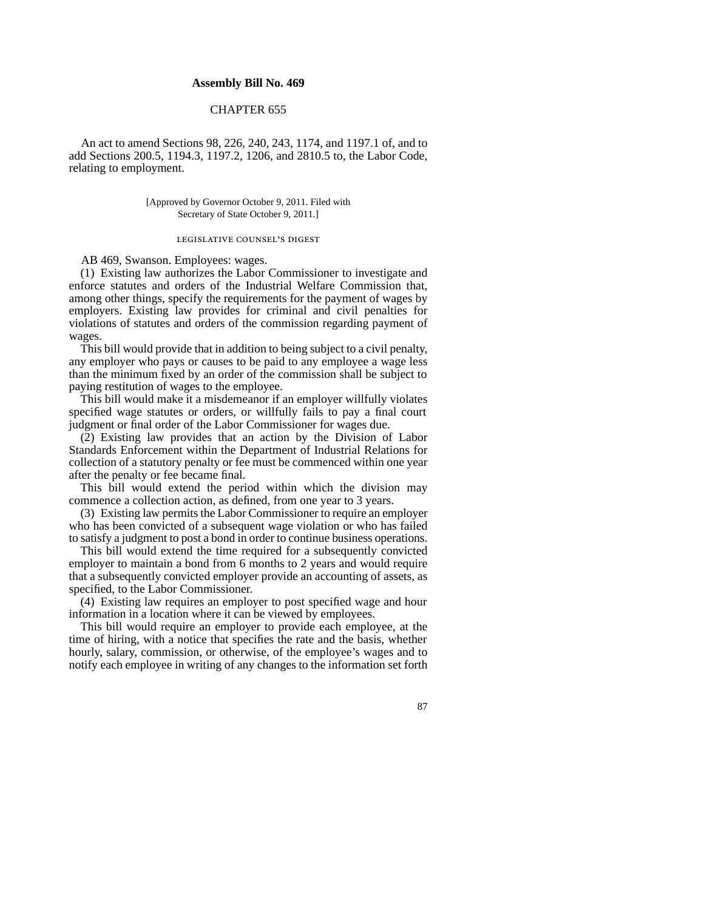## **Assembly Bill No. 469**

## CHAPTER 655

An act to amend Sections 98, 226, 240, 243, 1174, and 1197.1 of, and to add Sections 200.5, 1194.3, 1197.2, 1206, and 2810.5 to, the Labor Code, relating to employment.

> [Approved by Governor October 9, 2011. Filed with Secretary of State October 9, 2011.]

## legislative counsel's digest

AB 469, Swanson. Employees: wages.

(1) Existing law authorizes the Labor Commissioner to investigate and enforce statutes and orders of the Industrial Welfare Commission that, among other things, specify the requirements for the payment of wages by employers. Existing law provides for criminal and civil penalties for violations of statutes and orders of the commission regarding payment of wages.

This bill would provide that in addition to being subject to a civil penalty, any employer who pays or causes to be paid to any employee a wage less than the minimum fixed by an order of the commission shall be subject to paying restitution of wages to the employee.

This bill would make it a misdemeanor if an employer willfully violates specified wage statutes or orders, or willfully fails to pay a final court judgment or final order of the Labor Commissioner for wages due.

(2) Existing law provides that an action by the Division of Labor Standards Enforcement within the Department of Industrial Relations for collection of a statutory penalty or fee must be commenced within one year after the penalty or fee became final.

This bill would extend the period within which the division may commence a collection action, as defined, from one year to 3 years.

(3) Existing law permits the Labor Commissioner to require an employer who has been convicted of a subsequent wage violation or who has failed to satisfy a judgment to post a bond in order to continue business operations.

This bill would extend the time required for a subsequently convicted employer to maintain a bond from 6 months to 2 years and would require that a subsequently convicted employer provide an accounting of assets, as specified, to the Labor Commissioner.

(4) Existing law requires an employer to post specified wage and hour information in a location where it can be viewed by employees.

This bill would require an employer to provide each employee, at the time of hiring, with a notice that specifies the rate and the basis, whether hourly, salary, commission, or otherwise, of the employee's wages and to notify each employee in writing of any changes to the information set forth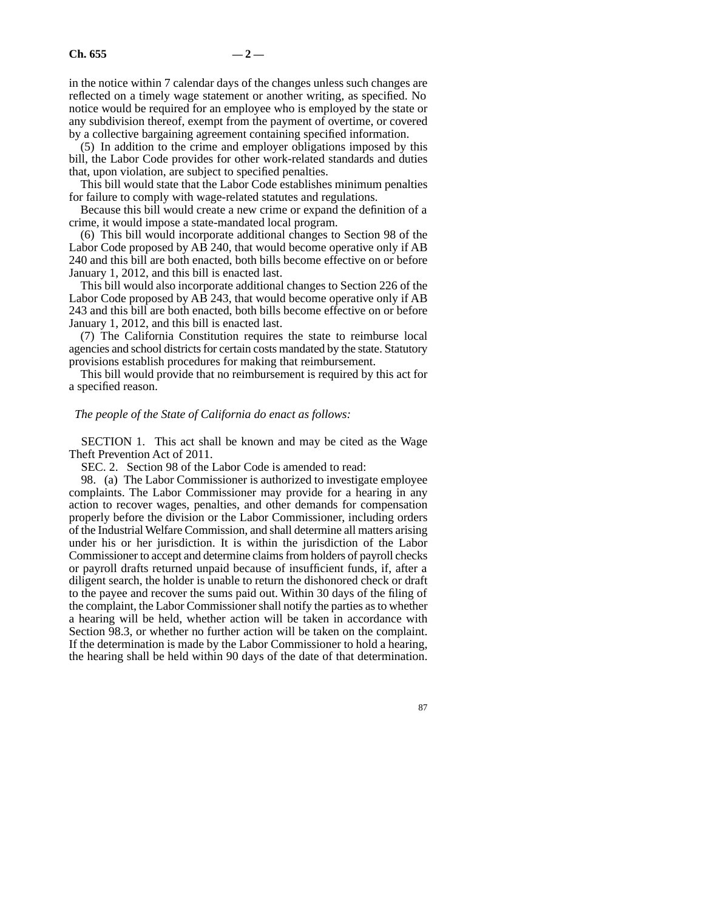in the notice within 7 calendar days of the changes unless such changes are reflected on a timely wage statement or another writing, as specified. No notice would be required for an employee who is employed by the state or any subdivision thereof, exempt from the payment of overtime, or covered by a collective bargaining agreement containing specified information.

(5) In addition to the crime and employer obligations imposed by this bill, the Labor Code provides for other work-related standards and duties that, upon violation, are subject to specified penalties.

This bill would state that the Labor Code establishes minimum penalties for failure to comply with wage-related statutes and regulations.

Because this bill would create a new crime or expand the definition of a crime, it would impose a state-mandated local program.

(6) This bill would incorporate additional changes to Section 98 of the Labor Code proposed by AB 240, that would become operative only if AB 240 and this bill are both enacted, both bills become effective on or before January 1, 2012, and this bill is enacted last.

This bill would also incorporate additional changes to Section 226 of the Labor Code proposed by AB 243, that would become operative only if AB 243 and this bill are both enacted, both bills become effective on or before January 1, 2012, and this bill is enacted last.

(7) The California Constitution requires the state to reimburse local agencies and school districts for certain costs mandated by the state. Statutory provisions establish procedures for making that reimbursement.

This bill would provide that no reimbursement is required by this act for a specified reason.

## *The people of the State of California do enact as follows:*

SECTION 1. This act shall be known and may be cited as the Wage Theft Prevention Act of 2011.

SEC. 2. Section 98 of the Labor Code is amended to read:

98. (a) The Labor Commissioner is authorized to investigate employee complaints. The Labor Commissioner may provide for a hearing in any action to recover wages, penalties, and other demands for compensation properly before the division or the Labor Commissioner, including orders of the Industrial Welfare Commission, and shall determine all matters arising under his or her jurisdiction. It is within the jurisdiction of the Labor Commissioner to accept and determine claims from holders of payroll checks or payroll drafts returned unpaid because of insufficient funds, if, after a diligent search, the holder is unable to return the dishonored check or draft to the payee and recover the sums paid out. Within 30 days of the filing of the complaint, the Labor Commissioner shall notify the parties as to whether a hearing will be held, whether action will be taken in accordance with Section 98.3, or whether no further action will be taken on the complaint. If the determination is made by the Labor Commissioner to hold a hearing, the hearing shall be held within 90 days of the date of that determination.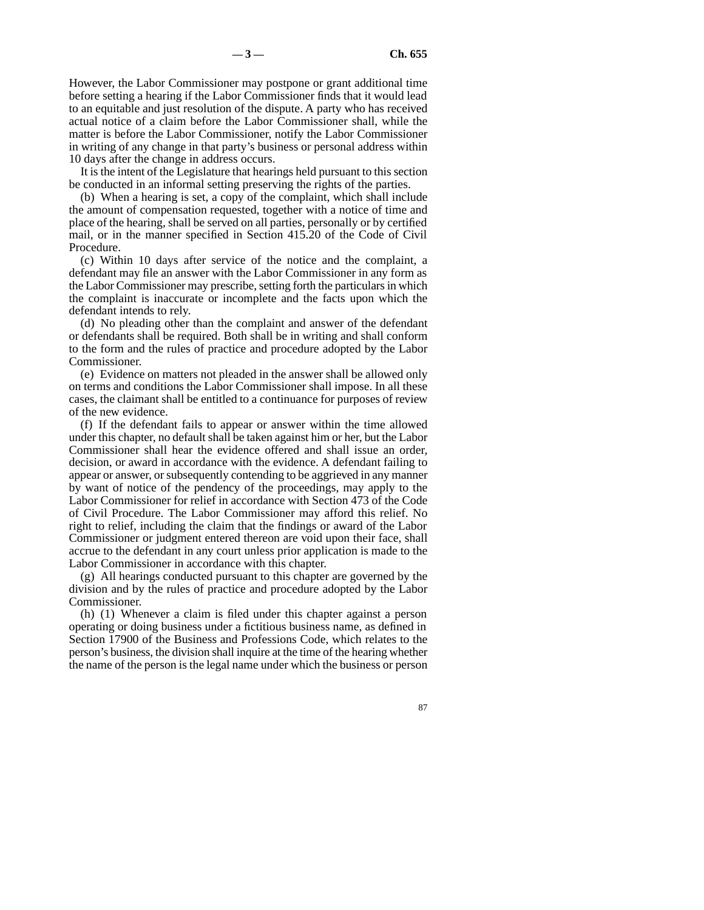However, the Labor Commissioner may postpone or grant additional time before setting a hearing if the Labor Commissioner finds that it would lead to an equitable and just resolution of the dispute. A party who has received actual notice of a claim before the Labor Commissioner shall, while the matter is before the Labor Commissioner, notify the Labor Commissioner in writing of any change in that party's business or personal address within 10 days after the change in address occurs.

It is the intent of the Legislature that hearings held pursuant to this section be conducted in an informal setting preserving the rights of the parties.

(b) When a hearing is set, a copy of the complaint, which shall include the amount of compensation requested, together with a notice of time and place of the hearing, shall be served on all parties, personally or by certified mail, or in the manner specified in Section 415.20 of the Code of Civil Procedure.

(c) Within 10 days after service of the notice and the complaint, a defendant may file an answer with the Labor Commissioner in any form as the Labor Commissioner may prescribe, setting forth the particulars in which the complaint is inaccurate or incomplete and the facts upon which the defendant intends to rely.

(d) No pleading other than the complaint and answer of the defendant or defendants shall be required. Both shall be in writing and shall conform to the form and the rules of practice and procedure adopted by the Labor Commissioner.

(e) Evidence on matters not pleaded in the answer shall be allowed only on terms and conditions the Labor Commissioner shall impose. In all these cases, the claimant shall be entitled to a continuance for purposes of review of the new evidence.

(f) If the defendant fails to appear or answer within the time allowed under this chapter, no default shall be taken against him or her, but the Labor Commissioner shall hear the evidence offered and shall issue an order, decision, or award in accordance with the evidence. A defendant failing to appear or answer, or subsequently contending to be aggrieved in any manner by want of notice of the pendency of the proceedings, may apply to the Labor Commissioner for relief in accordance with Section 473 of the Code of Civil Procedure. The Labor Commissioner may afford this relief. No right to relief, including the claim that the findings or award of the Labor Commissioner or judgment entered thereon are void upon their face, shall accrue to the defendant in any court unless prior application is made to the Labor Commissioner in accordance with this chapter.

(g) All hearings conducted pursuant to this chapter are governed by the division and by the rules of practice and procedure adopted by the Labor Commissioner.

(h) (1) Whenever a claim is filed under this chapter against a person operating or doing business under a fictitious business name, as defined in Section 17900 of the Business and Professions Code, which relates to the person's business, the division shall inquire at the time of the hearing whether the name of the person is the legal name under which the business or person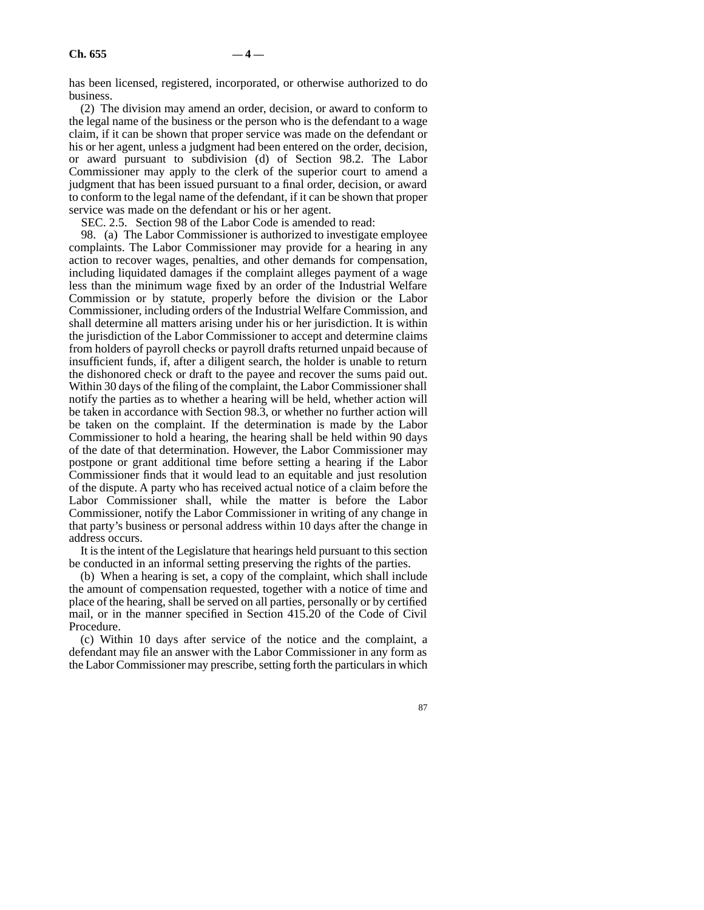has been licensed, registered, incorporated, or otherwise authorized to do business.

(2) The division may amend an order, decision, or award to conform to the legal name of the business or the person who is the defendant to a wage claim, if it can be shown that proper service was made on the defendant or his or her agent, unless a judgment had been entered on the order, decision, or award pursuant to subdivision (d) of Section 98.2. The Labor Commissioner may apply to the clerk of the superior court to amend a judgment that has been issued pursuant to a final order, decision, or award to conform to the legal name of the defendant, if it can be shown that proper service was made on the defendant or his or her agent.

SEC. 2.5. Section 98 of the Labor Code is amended to read:

98. (a) The Labor Commissioner is authorized to investigate employee complaints. The Labor Commissioner may provide for a hearing in any action to recover wages, penalties, and other demands for compensation, including liquidated damages if the complaint alleges payment of a wage less than the minimum wage fixed by an order of the Industrial Welfare Commission or by statute, properly before the division or the Labor Commissioner, including orders of the Industrial Welfare Commission, and shall determine all matters arising under his or her jurisdiction. It is within the jurisdiction of the Labor Commissioner to accept and determine claims from holders of payroll checks or payroll drafts returned unpaid because of insufficient funds, if, after a diligent search, the holder is unable to return the dishonored check or draft to the payee and recover the sums paid out. Within 30 days of the filing of the complaint, the Labor Commissioner shall notify the parties as to whether a hearing will be held, whether action will be taken in accordance with Section 98.3, or whether no further action will be taken on the complaint. If the determination is made by the Labor Commissioner to hold a hearing, the hearing shall be held within 90 days of the date of that determination. However, the Labor Commissioner may postpone or grant additional time before setting a hearing if the Labor Commissioner finds that it would lead to an equitable and just resolution of the dispute. A party who has received actual notice of a claim before the Labor Commissioner shall, while the matter is before the Labor Commissioner, notify the Labor Commissioner in writing of any change in that party's business or personal address within 10 days after the change in address occurs.

It is the intent of the Legislature that hearings held pursuant to this section be conducted in an informal setting preserving the rights of the parties.

(b) When a hearing is set, a copy of the complaint, which shall include the amount of compensation requested, together with a notice of time and place of the hearing, shall be served on all parties, personally or by certified mail, or in the manner specified in Section 415.20 of the Code of Civil Procedure.

(c) Within 10 days after service of the notice and the complaint, a defendant may file an answer with the Labor Commissioner in any form as the Labor Commissioner may prescribe, setting forth the particulars in which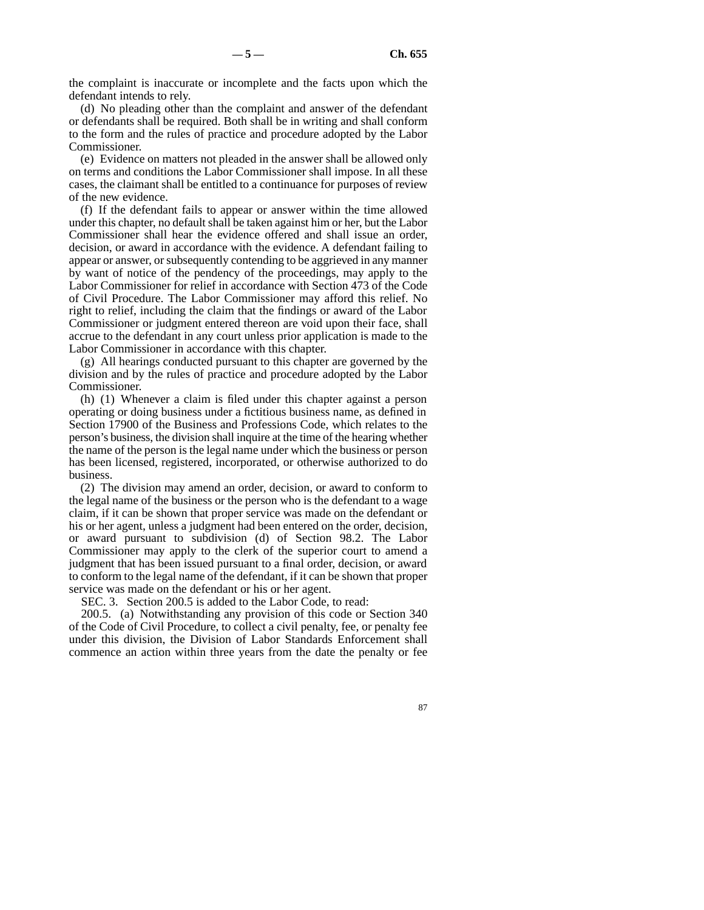the complaint is inaccurate or incomplete and the facts upon which the defendant intends to rely.

(d) No pleading other than the complaint and answer of the defendant or defendants shall be required. Both shall be in writing and shall conform to the form and the rules of practice and procedure adopted by the Labor Commissioner.

(e) Evidence on matters not pleaded in the answer shall be allowed only on terms and conditions the Labor Commissioner shall impose. In all these cases, the claimant shall be entitled to a continuance for purposes of review of the new evidence.

(f) If the defendant fails to appear or answer within the time allowed under this chapter, no default shall be taken against him or her, but the Labor Commissioner shall hear the evidence offered and shall issue an order, decision, or award in accordance with the evidence. A defendant failing to appear or answer, or subsequently contending to be aggrieved in any manner by want of notice of the pendency of the proceedings, may apply to the Labor Commissioner for relief in accordance with Section 473 of the Code of Civil Procedure. The Labor Commissioner may afford this relief. No right to relief, including the claim that the findings or award of the Labor Commissioner or judgment entered thereon are void upon their face, shall accrue to the defendant in any court unless prior application is made to the Labor Commissioner in accordance with this chapter.

(g) All hearings conducted pursuant to this chapter are governed by the division and by the rules of practice and procedure adopted by the Labor Commissioner.

(h) (1) Whenever a claim is filed under this chapter against a person operating or doing business under a fictitious business name, as defined in Section 17900 of the Business and Professions Code, which relates to the person's business, the division shall inquire at the time of the hearing whether the name of the person is the legal name under which the business or person has been licensed, registered, incorporated, or otherwise authorized to do business.

(2) The division may amend an order, decision, or award to conform to the legal name of the business or the person who is the defendant to a wage claim, if it can be shown that proper service was made on the defendant or his or her agent, unless a judgment had been entered on the order, decision, or award pursuant to subdivision (d) of Section 98.2. The Labor Commissioner may apply to the clerk of the superior court to amend a judgment that has been issued pursuant to a final order, decision, or award to conform to the legal name of the defendant, if it can be shown that proper service was made on the defendant or his or her agent.

SEC. 3. Section 200.5 is added to the Labor Code, to read:

200.5. (a) Notwithstanding any provision of this code or Section 340 of the Code of Civil Procedure, to collect a civil penalty, fee, or penalty fee under this division, the Division of Labor Standards Enforcement shall commence an action within three years from the date the penalty or fee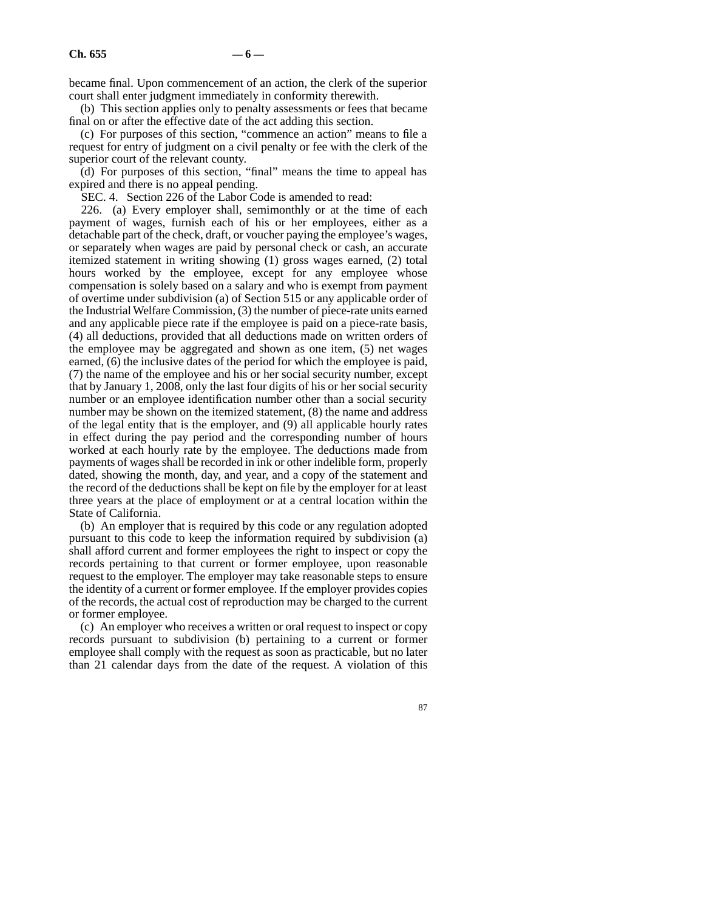became final. Upon commencement of an action, the clerk of the superior court shall enter judgment immediately in conformity therewith.

(b) This section applies only to penalty assessments or fees that became final on or after the effective date of the act adding this section.

(c) For purposes of this section, "commence an action" means to file a request for entry of judgment on a civil penalty or fee with the clerk of the superior court of the relevant county.

(d) For purposes of this section, "final" means the time to appeal has expired and there is no appeal pending.

SEC. 4. Section 226 of the Labor Code is amended to read:

226. (a) Every employer shall, semimonthly or at the time of each payment of wages, furnish each of his or her employees, either as a detachable part of the check, draft, or voucher paying the employee's wages, or separately when wages are paid by personal check or cash, an accurate itemized statement in writing showing (1) gross wages earned, (2) total hours worked by the employee, except for any employee whose compensation is solely based on a salary and who is exempt from payment of overtime under subdivision (a) of Section 515 or any applicable order of the Industrial Welfare Commission, (3) the number of piece-rate units earned and any applicable piece rate if the employee is paid on a piece-rate basis, (4) all deductions, provided that all deductions made on written orders of the employee may be aggregated and shown as one item, (5) net wages earned, (6) the inclusive dates of the period for which the employee is paid, (7) the name of the employee and his or her social security number, except that by January 1, 2008, only the last four digits of his or her social security number or an employee identification number other than a social security number may be shown on the itemized statement, (8) the name and address of the legal entity that is the employer, and (9) all applicable hourly rates in effect during the pay period and the corresponding number of hours worked at each hourly rate by the employee. The deductions made from payments of wages shall be recorded in ink or other indelible form, properly dated, showing the month, day, and year, and a copy of the statement and the record of the deductions shall be kept on file by the employer for at least three years at the place of employment or at a central location within the State of California.

(b) An employer that is required by this code or any regulation adopted pursuant to this code to keep the information required by subdivision (a) shall afford current and former employees the right to inspect or copy the records pertaining to that current or former employee, upon reasonable request to the employer. The employer may take reasonable steps to ensure the identity of a current or former employee. If the employer provides copies of the records, the actual cost of reproduction may be charged to the current or former employee.

(c) An employer who receives a written or oral request to inspect or copy records pursuant to subdivision (b) pertaining to a current or former employee shall comply with the request as soon as practicable, but no later than 21 calendar days from the date of the request. A violation of this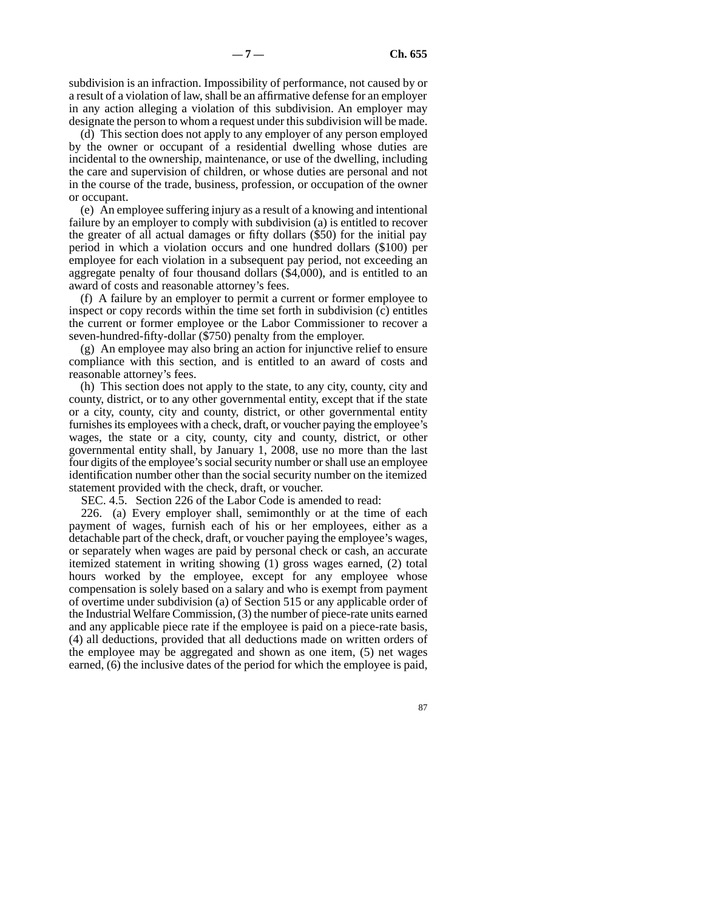subdivision is an infraction. Impossibility of performance, not caused by or a result of a violation of law, shall be an affirmative defense for an employer in any action alleging a violation of this subdivision. An employer may designate the person to whom a request under this subdivision will be made.

(d) This section does not apply to any employer of any person employed by the owner or occupant of a residential dwelling whose duties are incidental to the ownership, maintenance, or use of the dwelling, including the care and supervision of children, or whose duties are personal and not in the course of the trade, business, profession, or occupation of the owner or occupant.

(e) An employee suffering injury as a result of a knowing and intentional failure by an employer to comply with subdivision (a) is entitled to recover the greater of all actual damages or fifty dollars (\$50) for the initial pay period in which a violation occurs and one hundred dollars (\$100) per employee for each violation in a subsequent pay period, not exceeding an aggregate penalty of four thousand dollars (\$4,000), and is entitled to an award of costs and reasonable attorney's fees.

(f) A failure by an employer to permit a current or former employee to inspect or copy records within the time set forth in subdivision (c) entitles the current or former employee or the Labor Commissioner to recover a seven-hundred-fifty-dollar (\$750) penalty from the employer.

(g) An employee may also bring an action for injunctive relief to ensure compliance with this section, and is entitled to an award of costs and reasonable attorney's fees.

(h) This section does not apply to the state, to any city, county, city and county, district, or to any other governmental entity, except that if the state or a city, county, city and county, district, or other governmental entity furnishes its employees with a check, draft, or voucher paying the employee's wages, the state or a city, county, city and county, district, or other governmental entity shall, by January 1, 2008, use no more than the last four digits of the employee's social security number or shall use an employee identification number other than the social security number on the itemized statement provided with the check, draft, or voucher.

SEC. 4.5. Section 226 of the Labor Code is amended to read:

226. (a) Every employer shall, semimonthly or at the time of each payment of wages, furnish each of his or her employees, either as a detachable part of the check, draft, or voucher paying the employee's wages, or separately when wages are paid by personal check or cash, an accurate itemized statement in writing showing (1) gross wages earned, (2) total hours worked by the employee, except for any employee whose compensation is solely based on a salary and who is exempt from payment of overtime under subdivision (a) of Section 515 or any applicable order of the Industrial Welfare Commission, (3) the number of piece-rate units earned and any applicable piece rate if the employee is paid on a piece-rate basis, (4) all deductions, provided that all deductions made on written orders of the employee may be aggregated and shown as one item, (5) net wages earned, (6) the inclusive dates of the period for which the employee is paid,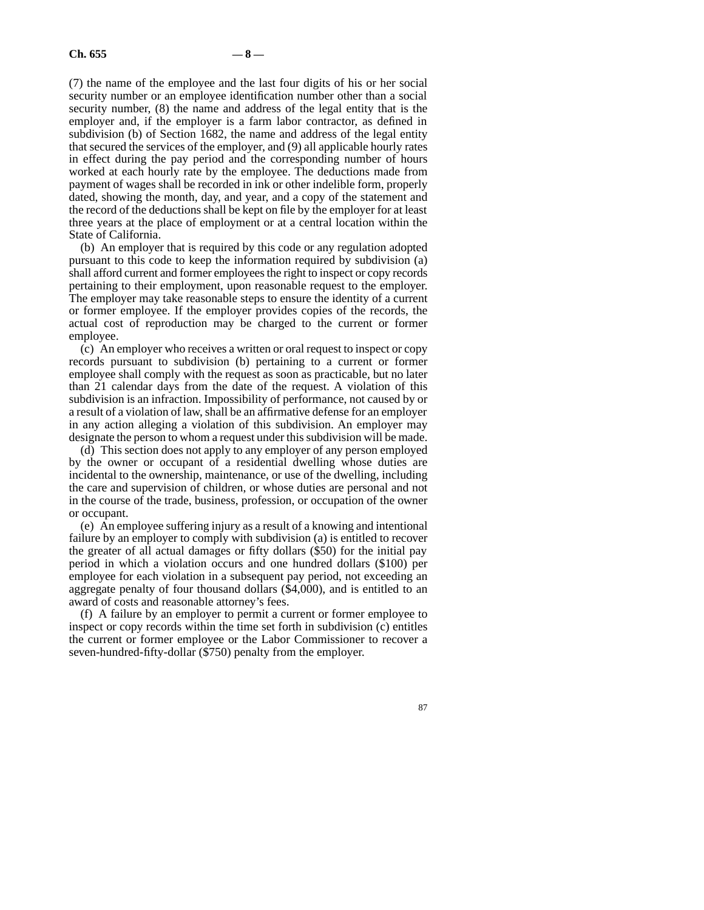(7) the name of the employee and the last four digits of his or her social security number or an employee identification number other than a social security number, (8) the name and address of the legal entity that is the employer and, if the employer is a farm labor contractor, as defined in subdivision (b) of Section 1682, the name and address of the legal entity that secured the services of the employer, and (9) all applicable hourly rates in effect during the pay period and the corresponding number of hours worked at each hourly rate by the employee. The deductions made from payment of wages shall be recorded in ink or other indelible form, properly dated, showing the month, day, and year, and a copy of the statement and the record of the deductions shall be kept on file by the employer for at least three years at the place of employment or at a central location within the State of California.

(b) An employer that is required by this code or any regulation adopted pursuant to this code to keep the information required by subdivision (a) shall afford current and former employees the right to inspect or copy records pertaining to their employment, upon reasonable request to the employer. The employer may take reasonable steps to ensure the identity of a current or former employee. If the employer provides copies of the records, the actual cost of reproduction may be charged to the current or former employee.

(c) An employer who receives a written or oral request to inspect or copy records pursuant to subdivision (b) pertaining to a current or former employee shall comply with the request as soon as practicable, but no later than 21 calendar days from the date of the request. A violation of this subdivision is an infraction. Impossibility of performance, not caused by or a result of a violation of law, shall be an affirmative defense for an employer in any action alleging a violation of this subdivision. An employer may designate the person to whom a request under this subdivision will be made.

(d) This section does not apply to any employer of any person employed by the owner or occupant of a residential dwelling whose duties are incidental to the ownership, maintenance, or use of the dwelling, including the care and supervision of children, or whose duties are personal and not in the course of the trade, business, profession, or occupation of the owner or occupant.

(e) An employee suffering injury as a result of a knowing and intentional failure by an employer to comply with subdivision (a) is entitled to recover the greater of all actual damages or fifty dollars (\$50) for the initial pay period in which a violation occurs and one hundred dollars (\$100) per employee for each violation in a subsequent pay period, not exceeding an aggregate penalty of four thousand dollars  $(\$4,000)$ , and is entitled to an award of costs and reasonable attorney's fees.

(f) A failure by an employer to permit a current or former employee to inspect or copy records within the time set forth in subdivision (c) entitles the current or former employee or the Labor Commissioner to recover a seven-hundred-fifty-dollar (\$750) penalty from the employer.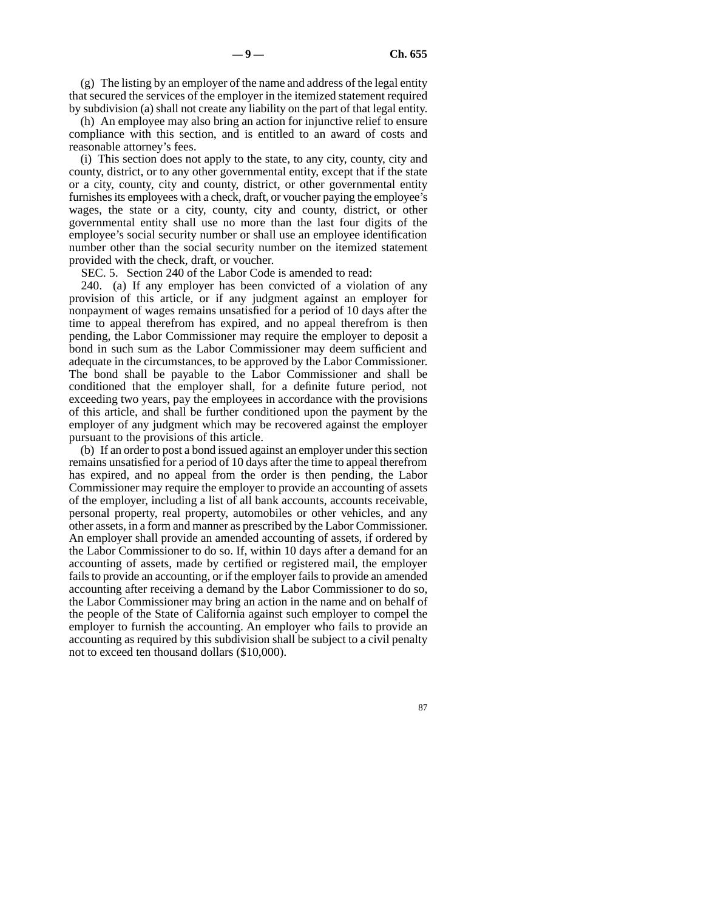(g) The listing by an employer of the name and address of the legal entity that secured the services of the employer in the itemized statement required by subdivision (a) shall not create any liability on the part of that legal entity.

(h) An employee may also bring an action for injunctive relief to ensure compliance with this section, and is entitled to an award of costs and reasonable attorney's fees.

(i) This section does not apply to the state, to any city, county, city and county, district, or to any other governmental entity, except that if the state or a city, county, city and county, district, or other governmental entity furnishes its employees with a check, draft, or voucher paying the employee's wages, the state or a city, county, city and county, district, or other governmental entity shall use no more than the last four digits of the employee's social security number or shall use an employee identification number other than the social security number on the itemized statement provided with the check, draft, or voucher.

SEC. 5. Section 240 of the Labor Code is amended to read:

240. (a) If any employer has been convicted of a violation of any provision of this article, or if any judgment against an employer for nonpayment of wages remains unsatisfied for a period of 10 days after the time to appeal therefrom has expired, and no appeal therefrom is then pending, the Labor Commissioner may require the employer to deposit a bond in such sum as the Labor Commissioner may deem sufficient and adequate in the circumstances, to be approved by the Labor Commissioner. The bond shall be payable to the Labor Commissioner and shall be conditioned that the employer shall, for a definite future period, not exceeding two years, pay the employees in accordance with the provisions of this article, and shall be further conditioned upon the payment by the employer of any judgment which may be recovered against the employer pursuant to the provisions of this article.

(b) If an order to post a bond issued against an employer under this section remains unsatisfied for a period of 10 days after the time to appeal therefrom has expired, and no appeal from the order is then pending, the Labor Commissioner may require the employer to provide an accounting of assets of the employer, including a list of all bank accounts, accounts receivable, personal property, real property, automobiles or other vehicles, and any other assets, in a form and manner as prescribed by the Labor Commissioner. An employer shall provide an amended accounting of assets, if ordered by the Labor Commissioner to do so. If, within 10 days after a demand for an accounting of assets, made by certified or registered mail, the employer fails to provide an accounting, or if the employer fails to provide an amended accounting after receiving a demand by the Labor Commissioner to do so, the Labor Commissioner may bring an action in the name and on behalf of the people of the State of California against such employer to compel the employer to furnish the accounting. An employer who fails to provide an accounting as required by this subdivision shall be subject to a civil penalty not to exceed ten thousand dollars (\$10,000).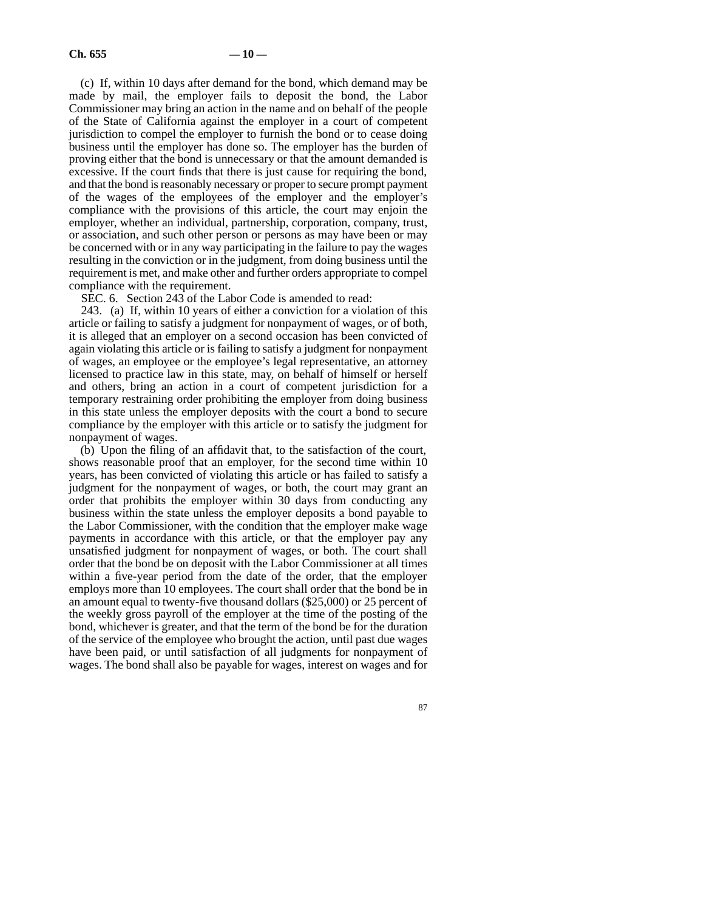(c) If, within 10 days after demand for the bond, which demand may be made by mail, the employer fails to deposit the bond, the Labor Commissioner may bring an action in the name and on behalf of the people of the State of California against the employer in a court of competent jurisdiction to compel the employer to furnish the bond or to cease doing business until the employer has done so. The employer has the burden of proving either that the bond is unnecessary or that the amount demanded is excessive. If the court finds that there is just cause for requiring the bond, and that the bond is reasonably necessary or proper to secure prompt payment of the wages of the employees of the employer and the employer's compliance with the provisions of this article, the court may enjoin the employer, whether an individual, partnership, corporation, company, trust, or association, and such other person or persons as may have been or may be concerned with or in any way participating in the failure to pay the wages resulting in the conviction or in the judgment, from doing business until the requirement is met, and make other and further orders appropriate to compel compliance with the requirement.

SEC. 6. Section 243 of the Labor Code is amended to read:

243. (a) If, within 10 years of either a conviction for a violation of this article or failing to satisfy a judgment for nonpayment of wages, or of both, it is alleged that an employer on a second occasion has been convicted of again violating this article or is failing to satisfy a judgment for nonpayment of wages, an employee or the employee's legal representative, an attorney licensed to practice law in this state, may, on behalf of himself or herself and others, bring an action in a court of competent jurisdiction for a temporary restraining order prohibiting the employer from doing business in this state unless the employer deposits with the court a bond to secure compliance by the employer with this article or to satisfy the judgment for nonpayment of wages.

(b) Upon the filing of an affidavit that, to the satisfaction of the court, shows reasonable proof that an employer, for the second time within 10 years, has been convicted of violating this article or has failed to satisfy a judgment for the nonpayment of wages, or both, the court may grant an order that prohibits the employer within 30 days from conducting any business within the state unless the employer deposits a bond payable to the Labor Commissioner, with the condition that the employer make wage payments in accordance with this article, or that the employer pay any unsatisfied judgment for nonpayment of wages, or both. The court shall order that the bond be on deposit with the Labor Commissioner at all times within a five-year period from the date of the order, that the employer employs more than 10 employees. The court shall order that the bond be in an amount equal to twenty-five thousand dollars (\$25,000) or 25 percent of the weekly gross payroll of the employer at the time of the posting of the bond, whichever is greater, and that the term of the bond be for the duration of the service of the employee who brought the action, until past due wages have been paid, or until satisfaction of all judgments for nonpayment of wages. The bond shall also be payable for wages, interest on wages and for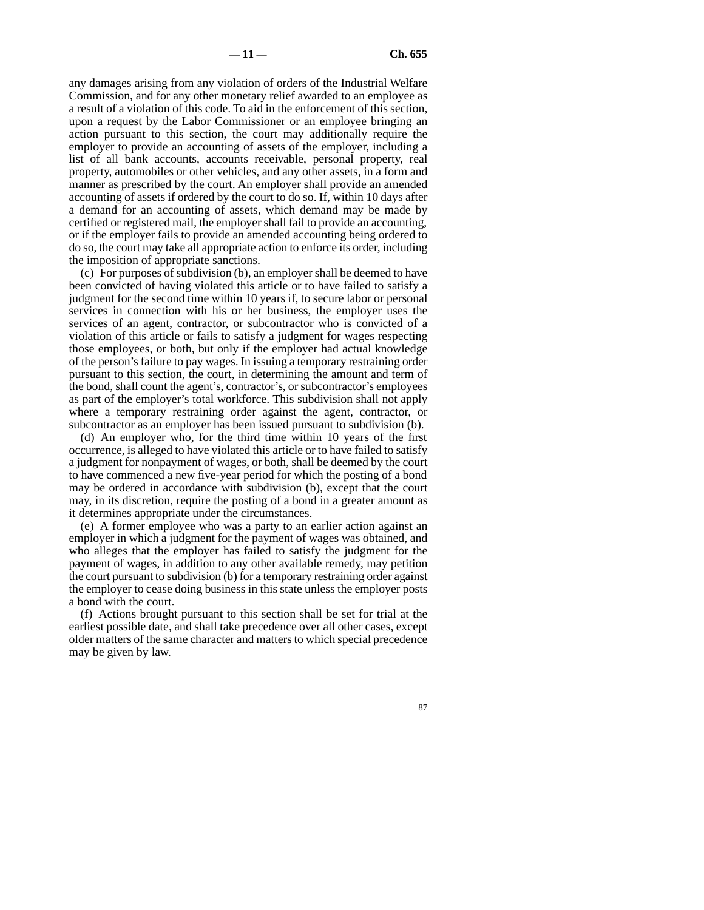any damages arising from any violation of orders of the Industrial Welfare Commission, and for any other monetary relief awarded to an employee as a result of a violation of this code. To aid in the enforcement of this section, upon a request by the Labor Commissioner or an employee bringing an action pursuant to this section, the court may additionally require the employer to provide an accounting of assets of the employer, including a list of all bank accounts, accounts receivable, personal property, real property, automobiles or other vehicles, and any other assets, in a form and manner as prescribed by the court. An employer shall provide an amended accounting of assets if ordered by the court to do so. If, within 10 days after a demand for an accounting of assets, which demand may be made by certified or registered mail, the employer shall fail to provide an accounting, or if the employer fails to provide an amended accounting being ordered to do so, the court may take all appropriate action to enforce its order, including the imposition of appropriate sanctions.

(c) For purposes of subdivision (b), an employer shall be deemed to have been convicted of having violated this article or to have failed to satisfy a judgment for the second time within 10 years if, to secure labor or personal services in connection with his or her business, the employer uses the services of an agent, contractor, or subcontractor who is convicted of a violation of this article or fails to satisfy a judgment for wages respecting those employees, or both, but only if the employer had actual knowledge of the person's failure to pay wages. In issuing a temporary restraining order pursuant to this section, the court, in determining the amount and term of the bond, shall count the agent's, contractor's, or subcontractor's employees as part of the employer's total workforce. This subdivision shall not apply where a temporary restraining order against the agent, contractor, or subcontractor as an employer has been issued pursuant to subdivision (b).

(d) An employer who, for the third time within 10 years of the first occurrence, is alleged to have violated this article or to have failed to satisfy a judgment for nonpayment of wages, or both, shall be deemed by the court to have commenced a new five-year period for which the posting of a bond may be ordered in accordance with subdivision (b), except that the court may, in its discretion, require the posting of a bond in a greater amount as it determines appropriate under the circumstances.

(e) A former employee who was a party to an earlier action against an employer in which a judgment for the payment of wages was obtained, and who alleges that the employer has failed to satisfy the judgment for the payment of wages, in addition to any other available remedy, may petition the court pursuant to subdivision (b) for a temporary restraining order against the employer to cease doing business in this state unless the employer posts a bond with the court.

(f) Actions brought pursuant to this section shall be set for trial at the earliest possible date, and shall take precedence over all other cases, except older matters of the same character and matters to which special precedence may be given by law.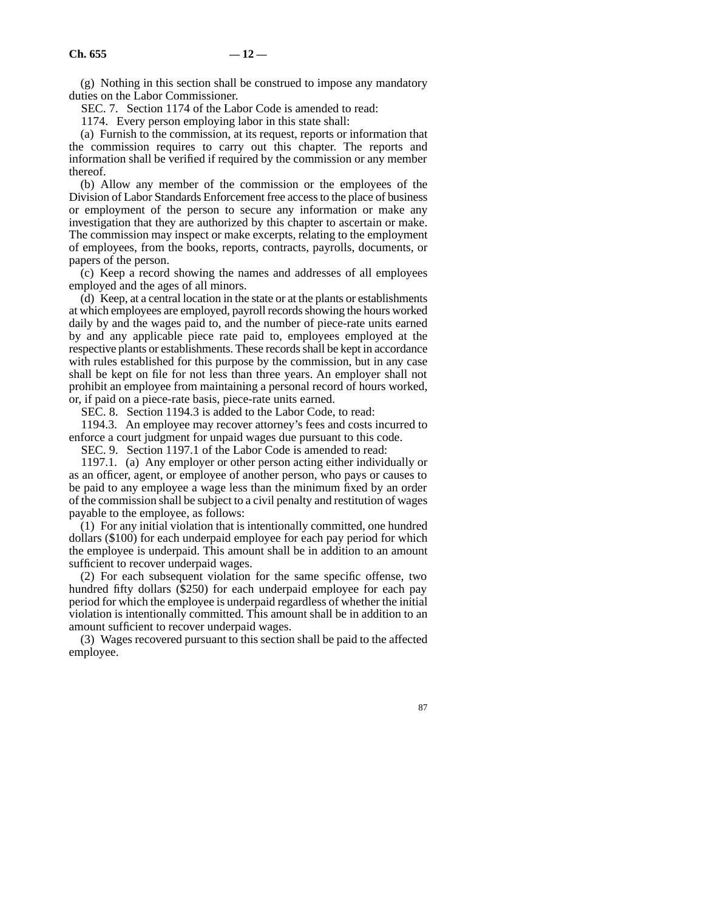(g) Nothing in this section shall be construed to impose any mandatory duties on the Labor Commissioner.

SEC. 7. Section 1174 of the Labor Code is amended to read:

1174. Every person employing labor in this state shall:

(a) Furnish to the commission, at its request, reports or information that the commission requires to carry out this chapter. The reports and information shall be verified if required by the commission or any member thereof.

(b) Allow any member of the commission or the employees of the Division of Labor Standards Enforcement free access to the place of business or employment of the person to secure any information or make any investigation that they are authorized by this chapter to ascertain or make. The commission may inspect or make excerpts, relating to the employment of employees, from the books, reports, contracts, payrolls, documents, or papers of the person.

(c) Keep a record showing the names and addresses of all employees employed and the ages of all minors.

(d) Keep, at a central location in the state or at the plants or establishments at which employees are employed, payroll records showing the hours worked daily by and the wages paid to, and the number of piece-rate units earned by and any applicable piece rate paid to, employees employed at the respective plants or establishments. These records shall be kept in accordance with rules established for this purpose by the commission, but in any case shall be kept on file for not less than three years. An employer shall not prohibit an employee from maintaining a personal record of hours worked, or, if paid on a piece-rate basis, piece-rate units earned.

SEC. 8. Section 1194.3 is added to the Labor Code, to read:

1194.3. An employee may recover attorney's fees and costs incurred to enforce a court judgment for unpaid wages due pursuant to this code.

SEC. 9. Section 1197.1 of the Labor Code is amended to read:

1197.1. (a) Any employer or other person acting either individually or as an officer, agent, or employee of another person, who pays or causes to be paid to any employee a wage less than the minimum fixed by an order of the commission shall be subject to a civil penalty and restitution of wages payable to the employee, as follows:

(1) For any initial violation that is intentionally committed, one hundred dollars (\$100) for each underpaid employee for each pay period for which the employee is underpaid. This amount shall be in addition to an amount sufficient to recover underpaid wages.

(2) For each subsequent violation for the same specific offense, two hundred fifty dollars (\$250) for each underpaid employee for each pay period for which the employee is underpaid regardless of whether the initial violation is intentionally committed. This amount shall be in addition to an amount sufficient to recover underpaid wages.

(3) Wages recovered pursuant to this section shall be paid to the affected employee.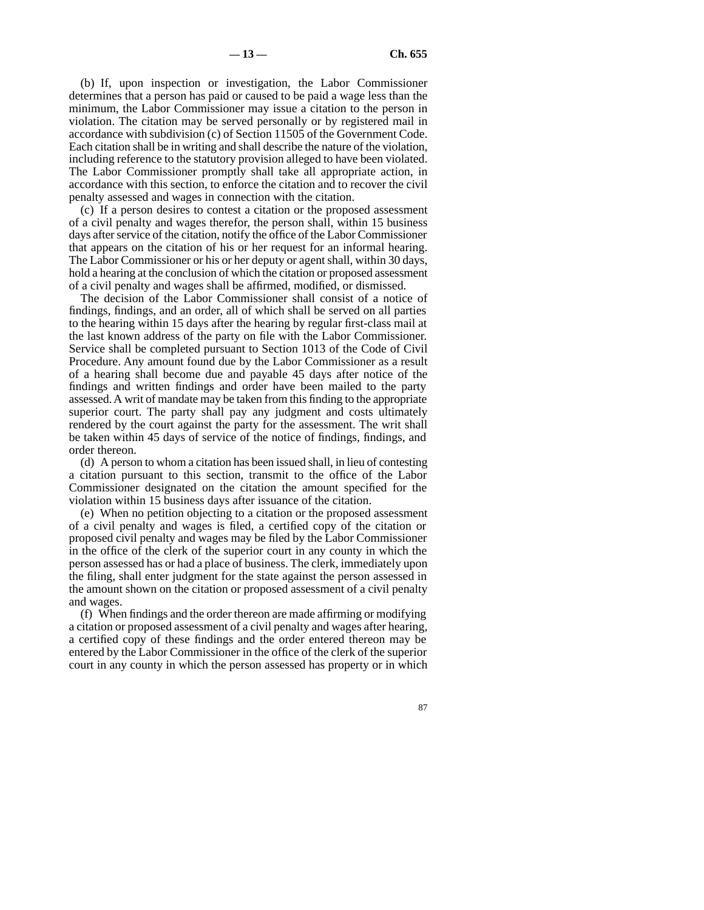(b) If, upon inspection or investigation, the Labor Commissioner determines that a person has paid or caused to be paid a wage less than the minimum, the Labor Commissioner may issue a citation to the person in violation. The citation may be served personally or by registered mail in accordance with subdivision (c) of Section 11505 of the Government Code. Each citation shall be in writing and shall describe the nature of the violation, including reference to the statutory provision alleged to have been violated. The Labor Commissioner promptly shall take all appropriate action, in accordance with this section, to enforce the citation and to recover the civil penalty assessed and wages in connection with the citation.

(c) If a person desires to contest a citation or the proposed assessment of a civil penalty and wages therefor, the person shall, within 15 business days after service of the citation, notify the office of the Labor Commissioner that appears on the citation of his or her request for an informal hearing. The Labor Commissioner or his or her deputy or agent shall, within 30 days, hold a hearing at the conclusion of which the citation or proposed assessment of a civil penalty and wages shall be affirmed, modified, or dismissed.

The decision of the Labor Commissioner shall consist of a notice of findings, findings, and an order, all of which shall be served on all parties to the hearing within 15 days after the hearing by regular first-class mail at the last known address of the party on file with the Labor Commissioner. Service shall be completed pursuant to Section 1013 of the Code of Civil Procedure. Any amount found due by the Labor Commissioner as a result of a hearing shall become due and payable 45 days after notice of the findings and written findings and order have been mailed to the party assessed. A writ of mandate may be taken from this finding to the appropriate superior court. The party shall pay any judgment and costs ultimately rendered by the court against the party for the assessment. The writ shall be taken within 45 days of service of the notice of findings, findings, and order thereon.

(d) A person to whom a citation has been issued shall, in lieu of contesting a citation pursuant to this section, transmit to the office of the Labor Commissioner designated on the citation the amount specified for the violation within 15 business days after issuance of the citation.

(e) When no petition objecting to a citation or the proposed assessment of a civil penalty and wages is filed, a certified copy of the citation or proposed civil penalty and wages may be filed by the Labor Commissioner in the office of the clerk of the superior court in any county in which the person assessed has or had a place of business. The clerk, immediately upon the filing, shall enter judgment for the state against the person assessed in the amount shown on the citation or proposed assessment of a civil penalty and wages.

(f) When findings and the order thereon are made affirming or modifying a citation or proposed assessment of a civil penalty and wages after hearing, a certified copy of these findings and the order entered thereon may be entered by the Labor Commissioner in the office of the clerk of the superior court in any county in which the person assessed has property or in which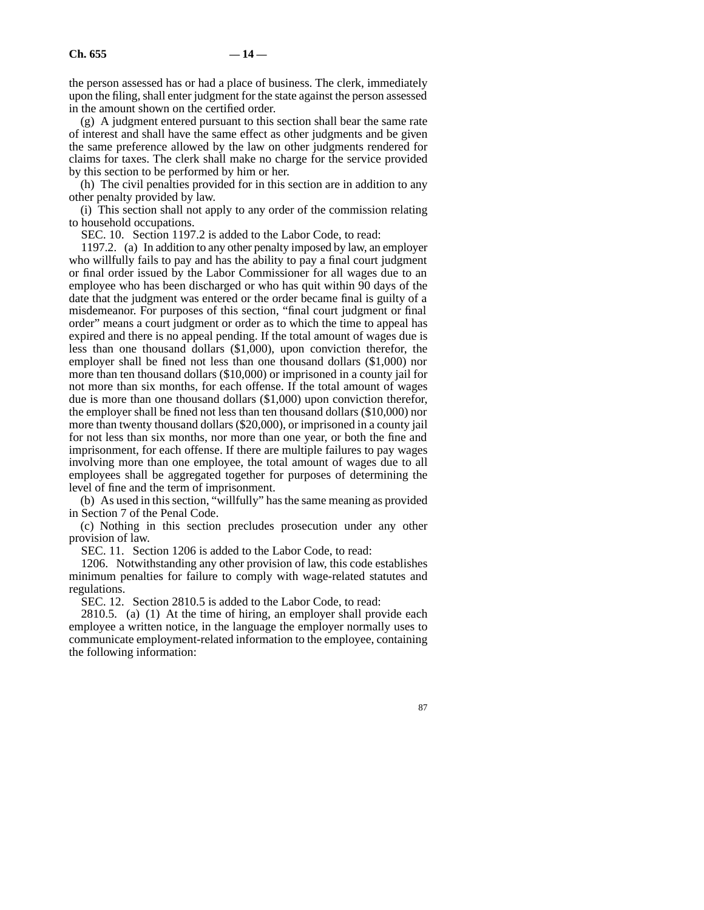the person assessed has or had a place of business. The clerk, immediately upon the filing, shall enter judgment for the state against the person assessed in the amount shown on the certified order.

(g) A judgment entered pursuant to this section shall bear the same rate of interest and shall have the same effect as other judgments and be given the same preference allowed by the law on other judgments rendered for claims for taxes. The clerk shall make no charge for the service provided by this section to be performed by him or her.

(h) The civil penalties provided for in this section are in addition to any other penalty provided by law.

(i) This section shall not apply to any order of the commission relating to household occupations.

SEC. 10. Section 1197.2 is added to the Labor Code, to read:

1197.2. (a) In addition to any other penalty imposed by law, an employer who willfully fails to pay and has the ability to pay a final court judgment or final order issued by the Labor Commissioner for all wages due to an employee who has been discharged or who has quit within 90 days of the date that the judgment was entered or the order became final is guilty of a misdemeanor. For purposes of this section, "final court judgment or final order" means a court judgment or order as to which the time to appeal has expired and there is no appeal pending. If the total amount of wages due is less than one thousand dollars (\$1,000), upon conviction therefor, the employer shall be fined not less than one thousand dollars (\$1,000) nor more than ten thousand dollars (\$10,000) or imprisoned in a county jail for not more than six months, for each offense. If the total amount of wages due is more than one thousand dollars (\$1,000) upon conviction therefor, the employer shall be fined not less than ten thousand dollars (\$10,000) nor more than twenty thousand dollars (\$20,000), or imprisoned in a county jail for not less than six months, nor more than one year, or both the fine and imprisonment, for each offense. If there are multiple failures to pay wages involving more than one employee, the total amount of wages due to all employees shall be aggregated together for purposes of determining the level of fine and the term of imprisonment.

(b) As used in this section, "willfully" has the same meaning as provided in Section 7 of the Penal Code.

(c) Nothing in this section precludes prosecution under any other provision of law.

SEC. 11. Section 1206 is added to the Labor Code, to read:

1206. Notwithstanding any other provision of law, this code establishes minimum penalties for failure to comply with wage-related statutes and regulations.

SEC. 12. Section 2810.5 is added to the Labor Code, to read:

2810.5. (a) (1) At the time of hiring, an employer shall provide each employee a written notice, in the language the employer normally uses to communicate employment-related information to the employee, containing the following information: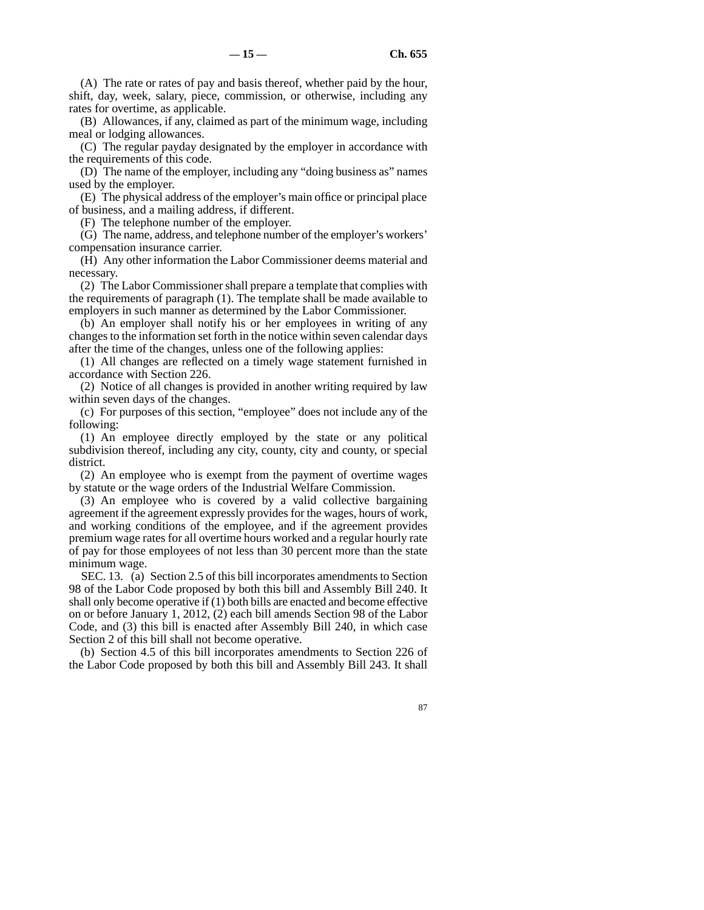(A) The rate or rates of pay and basis thereof, whether paid by the hour, shift, day, week, salary, piece, commission, or otherwise, including any rates for overtime, as applicable.

(B) Allowances, if any, claimed as part of the minimum wage, including meal or lodging allowances.

(C) The regular payday designated by the employer in accordance with the requirements of this code.

(D) The name of the employer, including any "doing business as" names used by the employer.

(E) The physical address of the employer's main office or principal place of business, and a mailing address, if different.

(F) The telephone number of the employer.

(G) The name, address, and telephone number of the employer's workers' compensation insurance carrier.

(H) Any other information the Labor Commissioner deems material and necessary.

(2) The Labor Commissioner shall prepare a template that complies with the requirements of paragraph (1). The template shall be made available to employers in such manner as determined by the Labor Commissioner.

(b) An employer shall notify his or her employees in writing of any changes to the information set forth in the notice within seven calendar days after the time of the changes, unless one of the following applies:

(1) All changes are reflected on a timely wage statement furnished in accordance with Section 226.

(2) Notice of all changes is provided in another writing required by law within seven days of the changes.

(c) For purposes of this section, "employee" does not include any of the following:

(1) An employee directly employed by the state or any political subdivision thereof, including any city, county, city and county, or special district.

(2) An employee who is exempt from the payment of overtime wages by statute or the wage orders of the Industrial Welfare Commission.

(3) An employee who is covered by a valid collective bargaining agreement if the agreement expressly provides for the wages, hours of work, and working conditions of the employee, and if the agreement provides premium wage rates for all overtime hours worked and a regular hourly rate of pay for those employees of not less than 30 percent more than the state minimum wage.

SEC. 13. (a) Section 2.5 of this bill incorporates amendments to Section 98 of the Labor Code proposed by both this bill and Assembly Bill 240. It shall only become operative if (1) both bills are enacted and become effective on or before January 1, 2012, (2) each bill amends Section 98 of the Labor Code, and (3) this bill is enacted after Assembly Bill 240, in which case Section 2 of this bill shall not become operative.

(b) Section 4.5 of this bill incorporates amendments to Section 226 of the Labor Code proposed by both this bill and Assembly Bill 243. It shall